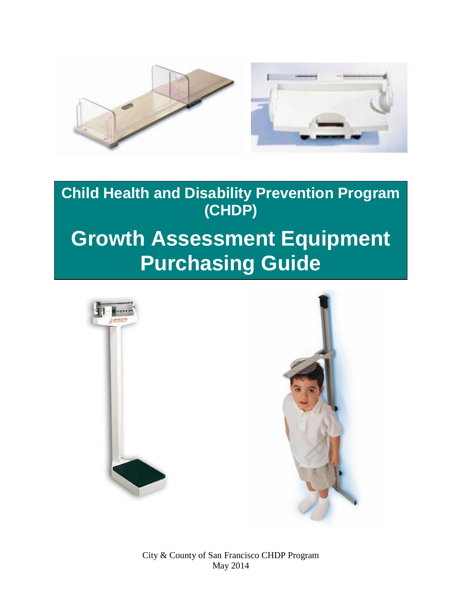

**Child Health and Disability Prevention Program (CHDP)**

# **Growth Assessment Equipment Purchasing Guide**



City & County of San Francisco CHDP Program May 2014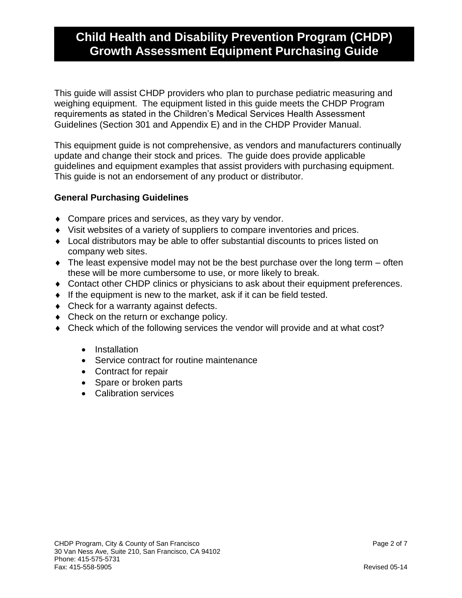This guide will assist CHDP providers who plan to purchase pediatric measuring and weighing equipment. The equipment listed in this guide meets the CHDP Program requirements as stated in the Children's Medical Services Health Assessment Guidelines (Section 301 and Appendix E) and in the CHDP Provider Manual.

This equipment guide is not comprehensive, as vendors and manufacturers continually update and change their stock and prices. The guide does provide applicable guidelines and equipment examples that assist providers with purchasing equipment. This guide is not an endorsement of any product or distributor.

### **General Purchasing Guidelines**

- Compare prices and services, as they vary by vendor.
- Visit websites of a variety of suppliers to compare inventories and prices.
- Local distributors may be able to offer substantial discounts to prices listed on company web sites.
- $\bullet$  The least expensive model may not be the best purchase over the long term  $-$  often these will be more cumbersome to use, or more likely to break.
- Contact other CHDP clinics or physicians to ask about their equipment preferences.
- $\bullet$  If the equipment is new to the market, ask if it can be field tested.
- Check for a warranty against defects.
- Check on the return or exchange policy.
- Check which of the following services the vendor will provide and at what cost?
	- Installation
	- Service contract for routine maintenance
	- Contract for repair
	- Spare or broken parts
	- Calibration services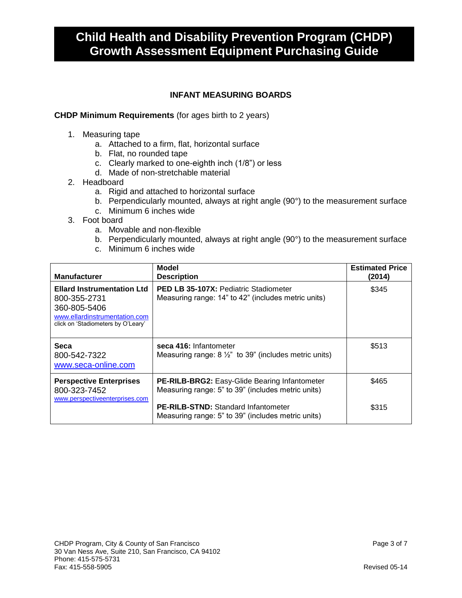#### **INFANT MEASURING BOARDS**

#### **CHDP Minimum Requirements** (for ages birth to 2 years)

- 1. Measuring tape
	- a. Attached to a firm, flat, horizontal surface
	- b. Flat, no rounded tape
	- c. Clearly marked to one-eighth inch (1/8") or less
	- d. Made of non-stretchable material
- 2. Headboard
	- a. Rigid and attached to horizontal surface
	- b. Perpendicularly mounted, always at right angle (90°) to the measurement surface
	- c. Minimum 6 inches wide
- 3. Foot board
	- a. Movable and non-flexible
	- b. Perpendicularly mounted, always at right angle (90°) to the measurement surface
	- c. Minimum 6 inches wide

| <b>Manufacturer</b>                                                                                                                      | Model<br><b>Description</b>                                                                                | <b>Estimated Price</b><br>(2014) |
|------------------------------------------------------------------------------------------------------------------------------------------|------------------------------------------------------------------------------------------------------------|----------------------------------|
| <b>Ellard Instrumentation Ltd</b><br>800-355-2731<br>360-805-5406<br>www.ellardinstrumentation.com<br>click on 'Stadiometers by O'Leary' | <b>PED LB 35-107X: Pediatric Stadiometer</b><br>Measuring range: 14" to 42" (includes metric units)        | \$345                            |
| Seca<br>800-542-7322<br>www.seca-online.com                                                                                              | seca 416: Infantometer<br>Measuring range: $8\frac{1}{2}$ " to 39" (includes metric units)                 | \$513                            |
| <b>Perspective Enterprises</b><br>800-323-7452<br>www.perspectiveenterprises.com                                                         | <b>PE-RILB-BRG2: Easy-Glide Bearing Infantometer</b><br>Measuring range: 5" to 39" (includes metric units) | \$465                            |
|                                                                                                                                          | <b>PE-RILB-STND:</b> Standard Infantometer<br>Measuring range: 5" to 39" (includes metric units)           | \$315                            |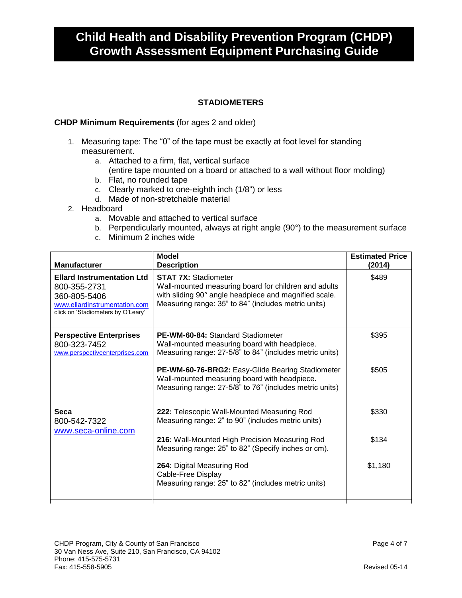### **STADIOMETERS**

#### **CHDP Minimum Requirements** (for ages 2 and older)

- 1. Measuring tape: The "0" of the tape must be exactly at foot level for standing measurement.
	- a. Attached to a firm, flat, vertical surface
		- (entire tape mounted on a board or attached to a wall without floor molding)
	- b. Flat, no rounded tape
	- c. Clearly marked to one-eighth inch (1/8") or less
	- d. Made of non-stretchable material
- 2. Headboard
	- a. Movable and attached to vertical surface
	- b. Perpendicularly mounted, always at right angle (90°) to the measurement surface
	- c. Minimum 2 inches wide

| <b>Manufacturer</b>                                                                                                                      | <b>Model</b><br><b>Description</b>                                                                                                                                                                  | <b>Estimated Price</b><br>(2014) |
|------------------------------------------------------------------------------------------------------------------------------------------|-----------------------------------------------------------------------------------------------------------------------------------------------------------------------------------------------------|----------------------------------|
| <b>Ellard Instrumentation Ltd</b><br>800-355-2731<br>360-805-5406<br>www.ellardinstrumentation.com<br>click on 'Stadiometers by O'Leary' | <b>STAT 7X: Stadiometer</b><br>Wall-mounted measuring board for children and adults<br>with sliding 90° angle headpiece and magnified scale.<br>Measuring range: 35" to 84" (includes metric units) | \$489                            |
| <b>Perspective Enterprises</b><br>800-323-7452<br>www.perspectiveenterprises.com                                                         | <b>PE-WM-60-84: Standard Stadiometer</b><br>Wall-mounted measuring board with headpiece.<br>Measuring range: 27-5/8" to 84" (includes metric units)                                                 | \$395                            |
|                                                                                                                                          | PE-WM-60-76-BRG2: Easy-Glide Bearing Stadiometer<br>Wall-mounted measuring board with headpiece.<br>Measuring range: 27-5/8" to 76" (includes metric units)                                         | \$505                            |
| <b>Seca</b><br>800-542-7322<br>www.seca-online.com                                                                                       | 222: Telescopic Wall-Mounted Measuring Rod<br>Measuring range: 2" to 90" (includes metric units)                                                                                                    | \$330                            |
|                                                                                                                                          | 216: Wall-Mounted High Precision Measuring Rod<br>Measuring range: 25" to 82" (Specify inches or cm).                                                                                               | \$134                            |
|                                                                                                                                          | 264: Digital Measuring Rod<br>Cable-Free Display<br>Measuring range: 25" to 82" (includes metric units)                                                                                             | \$1,180                          |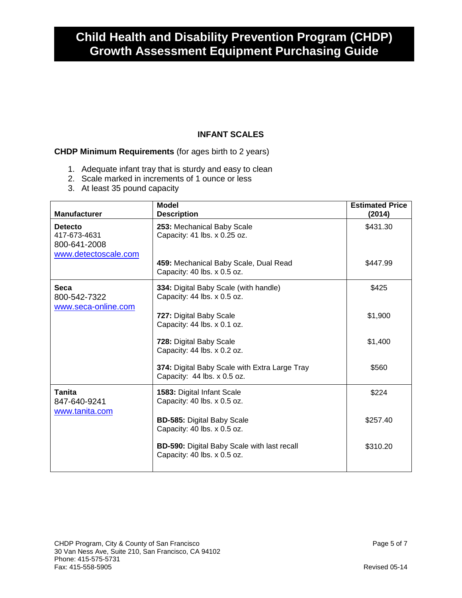#### **INFANT SCALES**

### **CHDP Minimum Requirements** (for ages birth to 2 years)

- 1. Adequate infant tray that is sturdy and easy to clean
- 2. Scale marked in increments of 1 ounce or less
- 3. At least 35 pound capacity

| <b>Manufacturer</b>                                                    | <b>Model</b><br><b>Description</b>                                                | <b>Estimated Price</b><br>(2014) |
|------------------------------------------------------------------------|-----------------------------------------------------------------------------------|----------------------------------|
| <b>Detecto</b><br>417-673-4631<br>800-641-2008<br>www.detectoscale.com | 253: Mechanical Baby Scale<br>Capacity: 41 lbs. x 0.25 oz.                        | \$431.30                         |
|                                                                        | 459: Mechanical Baby Scale, Dual Read<br>Capacity: 40 lbs. x 0.5 oz.              | \$447.99                         |
| <b>Seca</b><br>800-542-7322                                            | 334: Digital Baby Scale (with handle)<br>Capacity: 44 lbs. x 0.5 oz.              | \$425                            |
| www.seca-online.com                                                    | 727: Digital Baby Scale<br>Capacity: 44 lbs. x 0.1 oz.                            | \$1,900                          |
|                                                                        | 728: Digital Baby Scale<br>Capacity: 44 lbs. x 0.2 oz.                            | \$1,400                          |
|                                                                        | 374: Digital Baby Scale with Extra Large Tray<br>Capacity: 44 lbs. x 0.5 oz.      | \$560                            |
| <b>Tanita</b><br>847-640-9241<br>www.tanita.com                        | 1583: Digital Infant Scale<br>Capacity: 40 lbs. x 0.5 oz.                         | \$224                            |
|                                                                        | <b>BD-585: Digital Baby Scale</b><br>Capacity: 40 lbs. x 0.5 oz.                  | \$257.40                         |
|                                                                        | <b>BD-590:</b> Digital Baby Scale with last recall<br>Capacity: 40 lbs. x 0.5 oz. | \$310.20                         |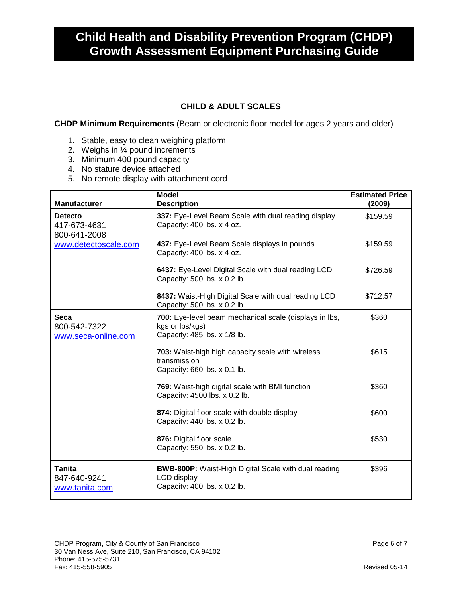### **CHILD & ADULT SCALES**

**CHDP Minimum Requirements** (Beam or electronic floor model for ages 2 years and older)

- 1. Stable, easy to clean weighing platform
- 2. Weighs in ¼ pound increments
- 3. Minimum 400 pound capacity
- 4. No stature device attached
- 5. No remote display with attachment cord

| <b>Manufacturer</b>                                                    | <b>Model</b><br><b>Description</b>                                                                         | <b>Estimated Price</b><br>(2009) |
|------------------------------------------------------------------------|------------------------------------------------------------------------------------------------------------|----------------------------------|
| <b>Detecto</b><br>417-673-4631<br>800-641-2008<br>www.detectoscale.com | 337: Eye-Level Beam Scale with dual reading display<br>Capacity: 400 lbs. x 4 oz.                          | \$159.59                         |
|                                                                        | 437: Eye-Level Beam Scale displays in pounds<br>Capacity: 400 lbs. x 4 oz.                                 | \$159.59                         |
|                                                                        | 6437: Eye-Level Digital Scale with dual reading LCD<br>Capacity: 500 lbs. x 0.2 lb.                        | \$726.59                         |
|                                                                        | 8437: Waist-High Digital Scale with dual reading LCD<br>Capacity: 500 lbs. x 0.2 lb.                       | \$712.57                         |
| Seca<br>800-542-7322<br>www.seca-online.com                            | 700: Eye-level beam mechanical scale (displays in lbs,<br>kgs or lbs/kgs)<br>Capacity: 485 lbs. x 1/8 lb.  | \$360                            |
|                                                                        | 703: Waist-high high capacity scale with wireless<br>transmission<br>Capacity: 660 lbs. x 0.1 lb.          | \$615                            |
|                                                                        | 769: Waist-high digital scale with BMI function<br>Capacity: 4500 lbs. x 0.2 lb.                           | \$360                            |
|                                                                        | 874: Digital floor scale with double display<br>Capacity: 440 lbs. x 0.2 lb.                               | \$600                            |
|                                                                        | 876: Digital floor scale<br>Capacity: 550 lbs. x 0.2 lb.                                                   | \$530                            |
| Tanita<br>847-640-9241<br>www.tanita.com                               | <b>BWB-800P:</b> Waist-High Digital Scale with dual reading<br>LCD display<br>Capacity: 400 lbs. x 0.2 lb. | \$396                            |